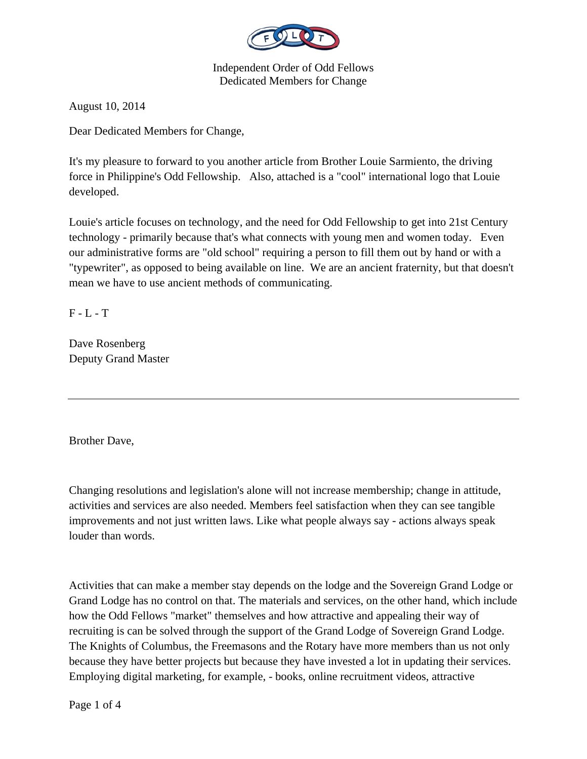

August 10, 2014

Dear Dedicated Members for Change,

It's my pleasure to forward to you another article from Brother Louie Sarmiento, the driving force in Philippine's Odd Fellowship. Also, attached is a "cool" international logo that Louie developed.

Louie's article focuses on technology, and the need for Odd Fellowship to get into 21st Century technology - primarily because that's what connects with young men and women today. Even our administrative forms are "old school" requiring a person to fill them out by hand or with a "typewriter", as opposed to being available on line. We are an ancient fraternity, but that doesn't mean we have to use ancient methods of communicating.

 $F - L - T$ 

Dave Rosenberg Deputy Grand Master

Brother Dave,

Changing resolutions and legislation's alone will not increase membership; change in attitude, activities and services are also needed. Members feel satisfaction when they can see tangible improvements and not just written laws. Like what people always say - actions always speak louder than words.

Activities that can make a member stay depends on the lodge and the Sovereign Grand Lodge or Grand Lodge has no control on that. The materials and services, on the other hand, which include how the Odd Fellows "market" themselves and how attractive and appealing their way of recruiting is can be solved through the support of the Grand Lodge of Sovereign Grand Lodge. The Knights of Columbus, the Freemasons and the Rotary have more members than us not only because they have better projects but because they have invested a lot in updating their services. Employing digital marketing, for example, - books, online recruitment videos, attractive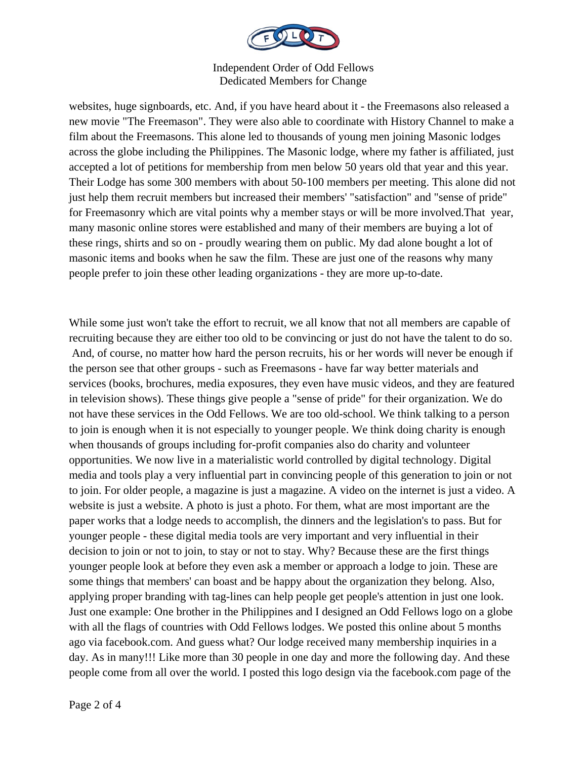

websites, huge signboards, etc. And, if you have heard about it - the Freemasons also released a new movie "The Freemason". They were also able to coordinate with History Channel to make a film about the Freemasons. This alone led to thousands of young men joining Masonic lodges across the globe including the Philippines. The Masonic lodge, where my father is affiliated, just accepted a lot of petitions for membership from men below 50 years old that year and this year. Their Lodge has some 300 members with about 50-100 members per meeting. This alone did not just help them recruit members but increased their members' "satisfaction" and "sense of pride" for Freemasonry which are vital points why a member stays or will be more involved.That year, many masonic online stores were established and many of their members are buying a lot of these rings, shirts and so on - proudly wearing them on public. My dad alone bought a lot of masonic items and books when he saw the film. These are just one of the reasons why many people prefer to join these other leading organizations - they are more up-to-date.

While some just won't take the effort to recruit, we all know that not all members are capable of recruiting because they are either too old to be convincing or just do not have the talent to do so. And, of course, no matter how hard the person recruits, his or her words will never be enough if the person see that other groups - such as Freemasons - have far way better materials and services (books, brochures, media exposures, they even have music videos, and they are featured in television shows). These things give people a "sense of pride" for their organization. We do not have these services in the Odd Fellows. We are too old-school. We think talking to a person to join is enough when it is not especially to younger people. We think doing charity is enough when thousands of groups including for-profit companies also do charity and volunteer opportunities. We now live in a materialistic world controlled by digital technology. Digital media and tools play a very influential part in convincing people of this generation to join or not to join. For older people, a magazine is just a magazine. A video on the internet is just a video. A website is just a website. A photo is just a photo. For them, what are most important are the paper works that a lodge needs to accomplish, the dinners and the legislation's to pass. But for younger people - these digital media tools are very important and very influential in their decision to join or not to join, to stay or not to stay. Why? Because these are the first things younger people look at before they even ask a member or approach a lodge to join. These are some things that members' can boast and be happy about the organization they belong. Also, applying proper branding with tag-lines can help people get people's attention in just one look. Just one example: One brother in the Philippines and I designed an Odd Fellows logo on a globe with all the flags of countries with Odd Fellows lodges. We posted this online about 5 months ago via facebook.com. And guess what? Our lodge received many membership inquiries in a day. As in many!!! Like more than 30 people in one day and more the following day. And these people come from all over the world. I posted this logo design via the facebook.com page of the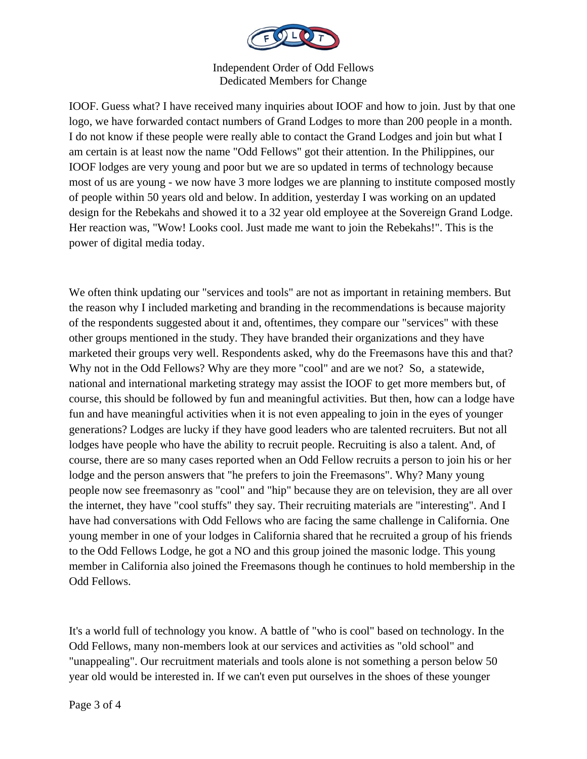

IOOF. Guess what? I have received many inquiries about IOOF and how to join. Just by that one logo, we have forwarded contact numbers of Grand Lodges to more than 200 people in a month. I do not know if these people were really able to contact the Grand Lodges and join but what I am certain is at least now the name "Odd Fellows" got their attention. In the Philippines, our IOOF lodges are very young and poor but we are so updated in terms of technology because most of us are young - we now have 3 more lodges we are planning to institute composed mostly of people within 50 years old and below. In addition, yesterday I was working on an updated design for the Rebekahs and showed it to a 32 year old employee at the Sovereign Grand Lodge. Her reaction was, "Wow! Looks cool. Just made me want to join the Rebekahs!". This is the power of digital media today.

We often think updating our "services and tools" are not as important in retaining members. But the reason why I included marketing and branding in the recommendations is because majority of the respondents suggested about it and, oftentimes, they compare our "services" with these other groups mentioned in the study. They have branded their organizations and they have marketed their groups very well. Respondents asked, why do the Freemasons have this and that? Why not in the Odd Fellows? Why are they more "cool" and are we not? So, a statewide, national and international marketing strategy may assist the IOOF to get more members but, of course, this should be followed by fun and meaningful activities. But then, how can a lodge have fun and have meaningful activities when it is not even appealing to join in the eyes of younger generations? Lodges are lucky if they have good leaders who are talented recruiters. But not all lodges have people who have the ability to recruit people. Recruiting is also a talent. And, of course, there are so many cases reported when an Odd Fellow recruits a person to join his or her lodge and the person answers that "he prefers to join the Freemasons". Why? Many young people now see freemasonry as "cool" and "hip" because they are on television, they are all over the internet, they have "cool stuffs" they say. Their recruiting materials are "interesting". And I have had conversations with Odd Fellows who are facing the same challenge in California. One young member in one of your lodges in California shared that he recruited a group of his friends to the Odd Fellows Lodge, he got a NO and this group joined the masonic lodge. This young member in California also joined the Freemasons though he continues to hold membership in the Odd Fellows.

It's a world full of technology you know. A battle of "who is cool" based on technology. In the Odd Fellows, many non-members look at our services and activities as "old school" and "unappealing". Our recruitment materials and tools alone is not something a person below 50 year old would be interested in. If we can't even put ourselves in the shoes of these younger